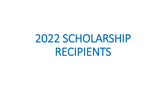# 2022 SCHOLARSHIP RECIPIENTS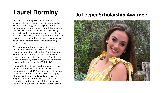# **Laurel Dorminy**

Laurel has a daunting list of extracurricular activities at Lake Highlands High School including varsity cheerleading, the Wranglers country western dance team, student council, Presidency of the LHHS chapter of the National Charity League, and participation in many other service projects and clubs. However, Laurel is most proud of her #4 ranking in the graduating class while taking many advanced placement classes and maintaining a busy calendar.

After graduation, Laurel plans to attend the University of Wisconsin at Madison to earn a degree in computer engineering. She thinks more women should demonstrate the confidence to pursue careers in math and science. She plans to make an impact by contributing to the promotion of women into positions in STEM fields".

Lest you think that Laurel is all work and no play, she was voted by her classmates as "Most Humorous Senior Girl." She confesses that she has never met a pun that she didn't like. Jo Leeper, who we lost this year and greatly miss, was a longtime member of the Altrusa scholarship committee and the provider of this scholarship. She would have loved to have met Laurel Dorminy.

#### **Jo Leeper Scholarship Awardee**

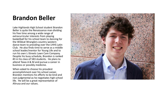#### **Brandon Beller**

Lake Highlands High School student Brandon Beller is quite the Renaissance man dividing his free time among a wide range of extracurricular interests from playing basketball for his school team to dancing for the Wildcat Wranglers country western dance team to presiding over the LHHS Latin Club. He also finds time to serve as a middle school leader/mentor for Young Life and to run his own L-Streets Lawn Care Company. Despite his busy schedule, Brandon is ranked #3 in his class of 583 students. He plans to attend Texas A & M and pursue a career in business or possibly medicine.

When asked to choose his proudest accomplishment over his school career, Brandon mentions his efforts to be kind and non-judgmental as he negotiates high school life. He will be a great representative of Altrusa and our values.

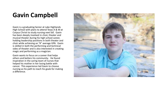## **Gavin Campbell**

Gavin is a graduating Senior at Lake Highlands High School with plans to attend Texas A & M at Corpus Christi to study nursing next fall. Gavin has been deeply involved in choir, theater and musical theater during his high school career, holding leadership positions in both theater and choir while achieving an "A" average GPA. Gavin is skilled in both the performing and technical sides of theater and is also interested in creating magic and performing as a magician.

Gavin wants to focus on a career that helps others and betters his community. He found inspiration in the caring team of nurses that helped his mother in her losing battle with cancer. This experience led Gavin to choose nursing as his path to reach his goals for making a difference.

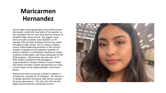### **Maricarmen Hernandez**

Pearce High School graduating senior Maricarmen Hernandez credits the hard work of her parents as the inspiration for her own hard work to achieve an excellent high school record. She juggles many extracurricular activities and maintains an "A" average GPA, all while working 25 hours per week throughout high school. She is a Pearce athletic trainer, holds leadership positions in the school's chapter of Healthcare Occupations Students of America (HOSA), is a Richardson Healthcare Career Academy Ambassador, and enjoys being part of the AVID program. Maricarmen was also one of 12 RISD seniors selected for the prestigious Superintendent's Student Advisors Council (Super SAC) which provides student perspectives on many current topics to the Superintendent and School Board.

Maricarmen plans to pursue a master's degree in architecture, possibly at UT Arlington. Her dream is to design beautiful structures that will be enjoyed by future generations. The sky's the limit for this highly focused Altrusa scholarship winner!

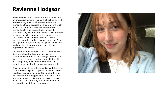#### **Ravienne Hodgson**

Ravienne dealt with childhood trauma to become an impressive senior at Pearce High School as well as developing a personal mission to improve mental healthcare services for children. She is #14 in her class at Pearce, resurrected the school's mental health club (raising \$600 for suicide prevention in just 24 hours), and was selected three years for the all-region choir. In her spare time, she studies advanced French on-line. She is currently enrolled for her second year in the Pearce AP Capstone program doing college level research studying the efficacy of various ways to treat depression in children.

Last summer Ravienne participated in the Mayor's Summer Internship Program interning at a community center that helps refugee women find success in this country. After her paid internship was completed, Ravienne has continued to volunteer weekly for this important non-profit.

Ravienne plans to complete an advanced degree in Clinical Psychology and hopes to develop a career that focuses on providing better trauma therapies for children, reforming pediatric psychiatric care, and giving abused children better access to legal justice and a better safety net. Ravienne is well prepared to meet these great goals.

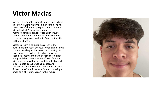#### **Victor Macias**

Victor will graduate from J.J. Pearce High School this May. During his time in high school, he has been part of the AVID program (Advancement Via Individual Determination) and enjoys mentoring middle school students in ways to better serve their community. He also enjoys doing service projects with St. Paul the Apostle Catholic Church.

Victor's dream is to pursue a career in the auto/diesel industry, eventually opening his own shop, expanding his business, and creating his own brand. He will be attending Universal Technical Institute to earn an Associate degree along with his Diesel Mechanic's certification. Victor loves everything about this industry and is passionate about creating a successful business in his chosen field. We on the Altrusa Scholarship Committee look forward to being a small part of Victor's vision for his future.